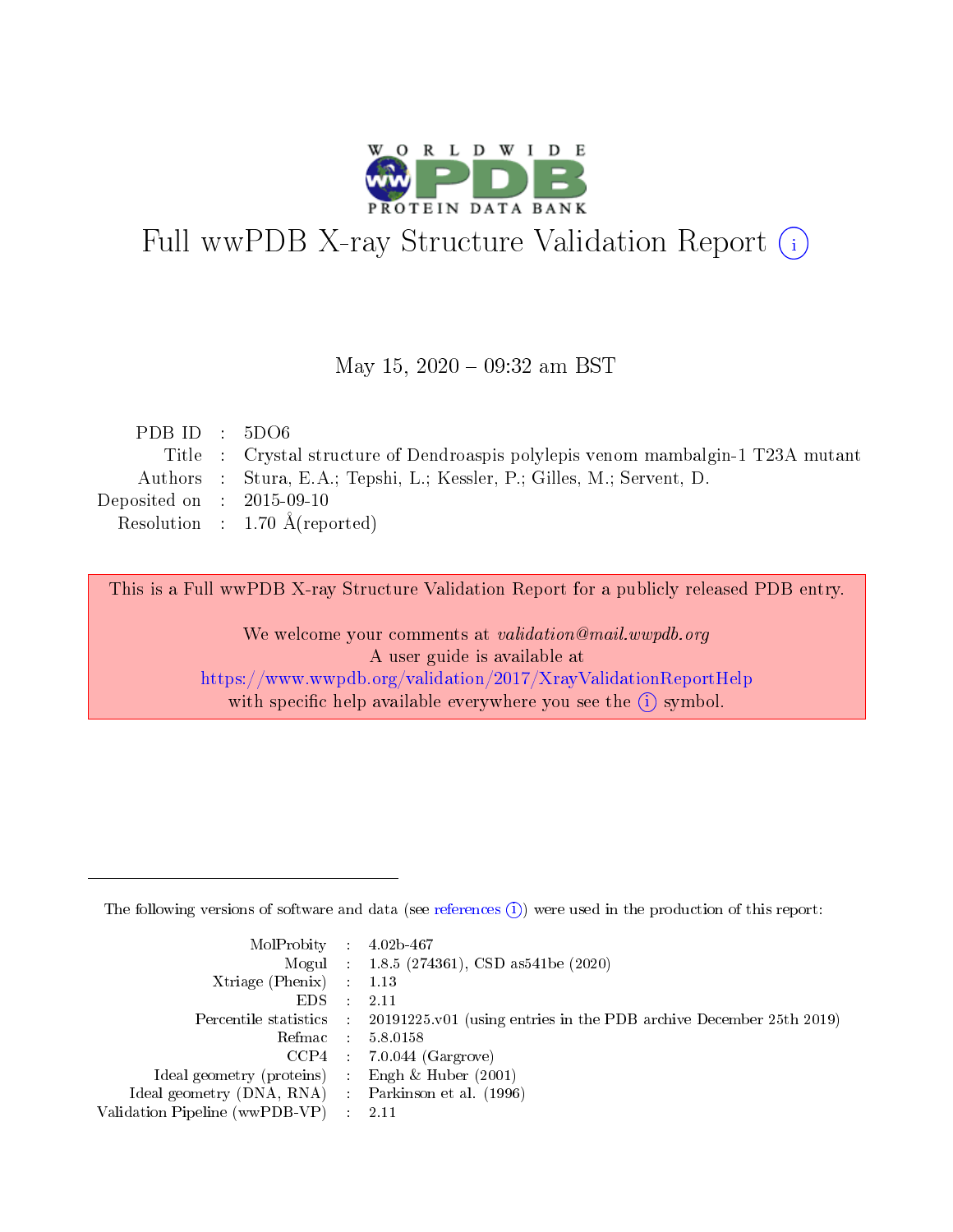

# Full wwPDB X-ray Structure Validation Report (i)

### May 15,  $2020 - 09:32$  am BST

| PDB ID : $5D06$             |                                                                                  |
|-----------------------------|----------------------------------------------------------------------------------|
|                             | Title : Crystal structure of Dendroaspis polylepis venom mambalgin-1 T23A mutant |
|                             | Authors : Stura, E.A.; Tepshi, L.; Kessler, P.; Gilles, M.; Servent, D.          |
| Deposited on : $2015-09-10$ |                                                                                  |
|                             | Resolution : $1.70 \text{ Å}$ (reported)                                         |
|                             |                                                                                  |

This is a Full wwPDB X-ray Structure Validation Report for a publicly released PDB entry.

We welcome your comments at validation@mail.wwpdb.org A user guide is available at <https://www.wwpdb.org/validation/2017/XrayValidationReportHelp> with specific help available everywhere you see the  $(i)$  symbol.

The following versions of software and data (see [references](https://www.wwpdb.org/validation/2017/XrayValidationReportHelp#references)  $(1)$ ) were used in the production of this report:

| $MolProbability$ : 4.02b-467                        |                                                                                              |
|-----------------------------------------------------|----------------------------------------------------------------------------------------------|
|                                                     | Mogul : 1.8.5 (274361), CSD as 541 be (2020)                                                 |
| Xtriage (Phenix) $: 1.13$                           |                                                                                              |
| $EDS$ :                                             | -2.11                                                                                        |
|                                                     | Percentile statistics : $20191225.v01$ (using entries in the PDB archive December 25th 2019) |
| Refmac : 5.8.0158                                   |                                                                                              |
|                                                     | $CCP4$ : 7.0.044 (Gargrove)                                                                  |
| Ideal geometry (proteins) :                         | Engh $\&$ Huber (2001)                                                                       |
| Ideal geometry (DNA, RNA) : Parkinson et al. (1996) |                                                                                              |
| Validation Pipeline (wwPDB-VP) : 2.11               |                                                                                              |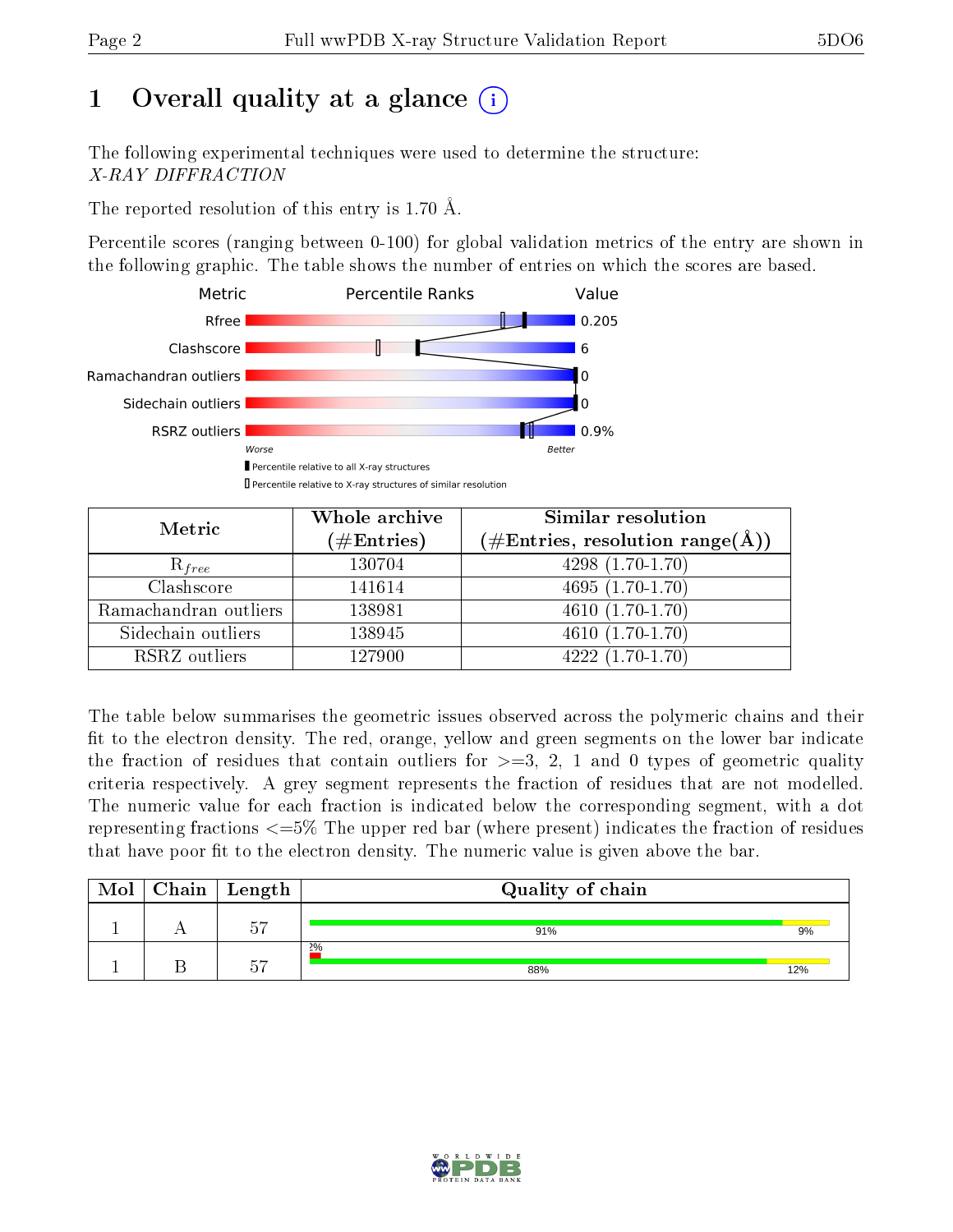# 1 [O](https://www.wwpdb.org/validation/2017/XrayValidationReportHelp#overall_quality)verall quality at a glance  $(i)$

The following experimental techniques were used to determine the structure: X-RAY DIFFRACTION

The reported resolution of this entry is 1.70 Å.

Percentile scores (ranging between 0-100) for global validation metrics of the entry are shown in the following graphic. The table shows the number of entries on which the scores are based.



| Metric                | Whole archive<br>$(\#\mathrm{Entries})$ | Similar resolution<br>$(\#\text{Entries}, \text{resolution range}(\textup{\AA}))$ |  |  |
|-----------------------|-----------------------------------------|-----------------------------------------------------------------------------------|--|--|
| $R_{free}$            | 130704                                  | $4298(1.70-1.70)$                                                                 |  |  |
| Clashscore            | 141614                                  | $4695(1.70-1.70)$                                                                 |  |  |
| Ramachandran outliers | 138981                                  | $4610(1.70-1.70)$                                                                 |  |  |
| Sidechain outliers    | 138945                                  | $4610(1.70-1.70)$                                                                 |  |  |
| RSRZ outliers         | 127900                                  | $4222(1.70-1.70)$                                                                 |  |  |

The table below summarises the geometric issues observed across the polymeric chains and their fit to the electron density. The red, orange, yellow and green segments on the lower bar indicate the fraction of residues that contain outliers for  $>=3, 2, 1$  and 0 types of geometric quality criteria respectively. A grey segment represents the fraction of residues that are not modelled. The numeric value for each fraction is indicated below the corresponding segment, with a dot representing fractions  $\epsilon=5\%$  The upper red bar (where present) indicates the fraction of residues that have poor fit to the electron density. The numeric value is given above the bar.

| Mol | Chain   Length | Quality of chain |     |
|-----|----------------|------------------|-----|
|     | $\sim$ $\sim$  | 91%              | 9%  |
|     | --             | 2%<br>88%        | 12% |

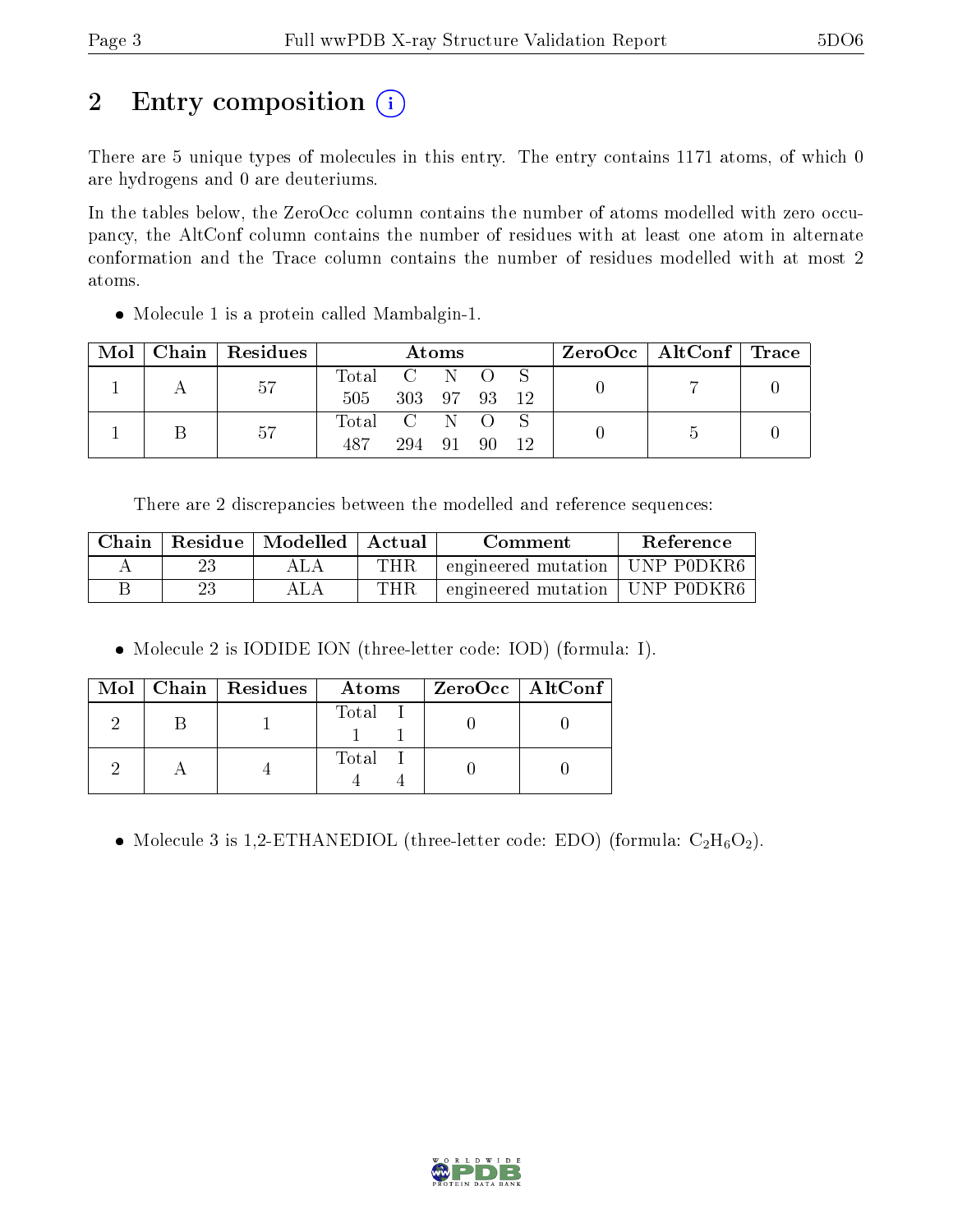# 2 Entry composition (i)

There are 5 unique types of molecules in this entry. The entry contains 1171 atoms, of which 0 are hydrogens and 0 are deuteriums.

In the tables below, the ZeroOcc column contains the number of atoms modelled with zero occupancy, the AltConf column contains the number of residues with at least one atom in alternate conformation and the Trace column contains the number of residues modelled with at most 2 atoms.

• Molecule 1 is a protein called Mambalgin-1.

| Mol |    | Chain   Residues | <b>Atoms</b> |     |    |  |  | ZeroOcc   AltConf   Trace |  |
|-----|----|------------------|--------------|-----|----|--|--|---------------------------|--|
|     |    | -57              | Total C N O  |     |    |  |  |                           |  |
|     |    | 505              | 303 97 93    |     |    |  |  |                           |  |
|     |    |                  | Total C N O  |     |    |  |  |                           |  |
|     | 57 | 487              | 294          | -91 | 90 |  |  |                           |  |

There are 2 discrepancies between the modelled and reference sequences:

| Chain | Residue | $\mid$ Modelled | Actual<br>Comment |                                  | Reference |
|-------|---------|-----------------|-------------------|----------------------------------|-----------|
|       |         |                 | $\rm THR$         | engineered mutation   UNP P0DKR6 |           |
|       |         |                 | THR.              | engineered mutation   UNP P0DKR6 |           |

Molecule 2 is IODIDE ION (three-letter code: IOD) (formula: I).

|  | $Mol$   Chain   Residues | Atoms | ZeroOcc   AltConf |
|--|--------------------------|-------|-------------------|
|  |                          | Total |                   |
|  |                          | Total |                   |

• Molecule 3 is 1,2-ETHANEDIOL (three-letter code: EDO) (formula:  $C_2H_6O_2$ ).

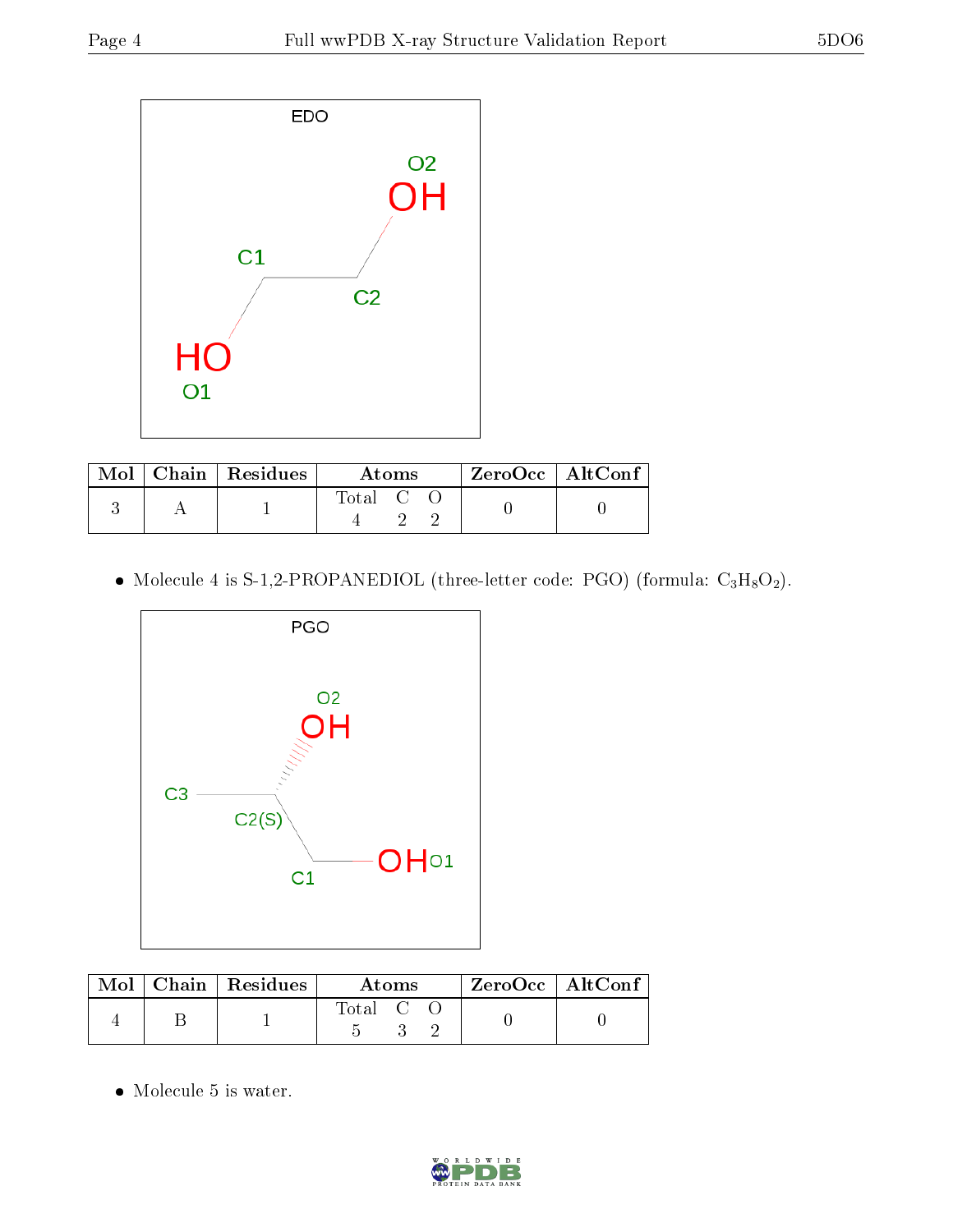

|  | $Mol$   Chain   Residues | Atoms   |  |  | $ZeroOcc \mid AltConf$ |  |
|--|--------------------------|---------|--|--|------------------------|--|
|  |                          | Total C |  |  |                        |  |

 $\bullet$  Molecule 4 is S-1,2-PROPANEDIOL (three-letter code: PGO) (formula:  $\rm{C_3H_8O_2}).$ 



|  | $\text{Mol}$   Chain   Residues | Atoms   |  |  | $ZeroOcc \mid AltConf$ |  |
|--|---------------------------------|---------|--|--|------------------------|--|
|  |                                 | Total C |  |  |                        |  |

• Molecule 5 is water.

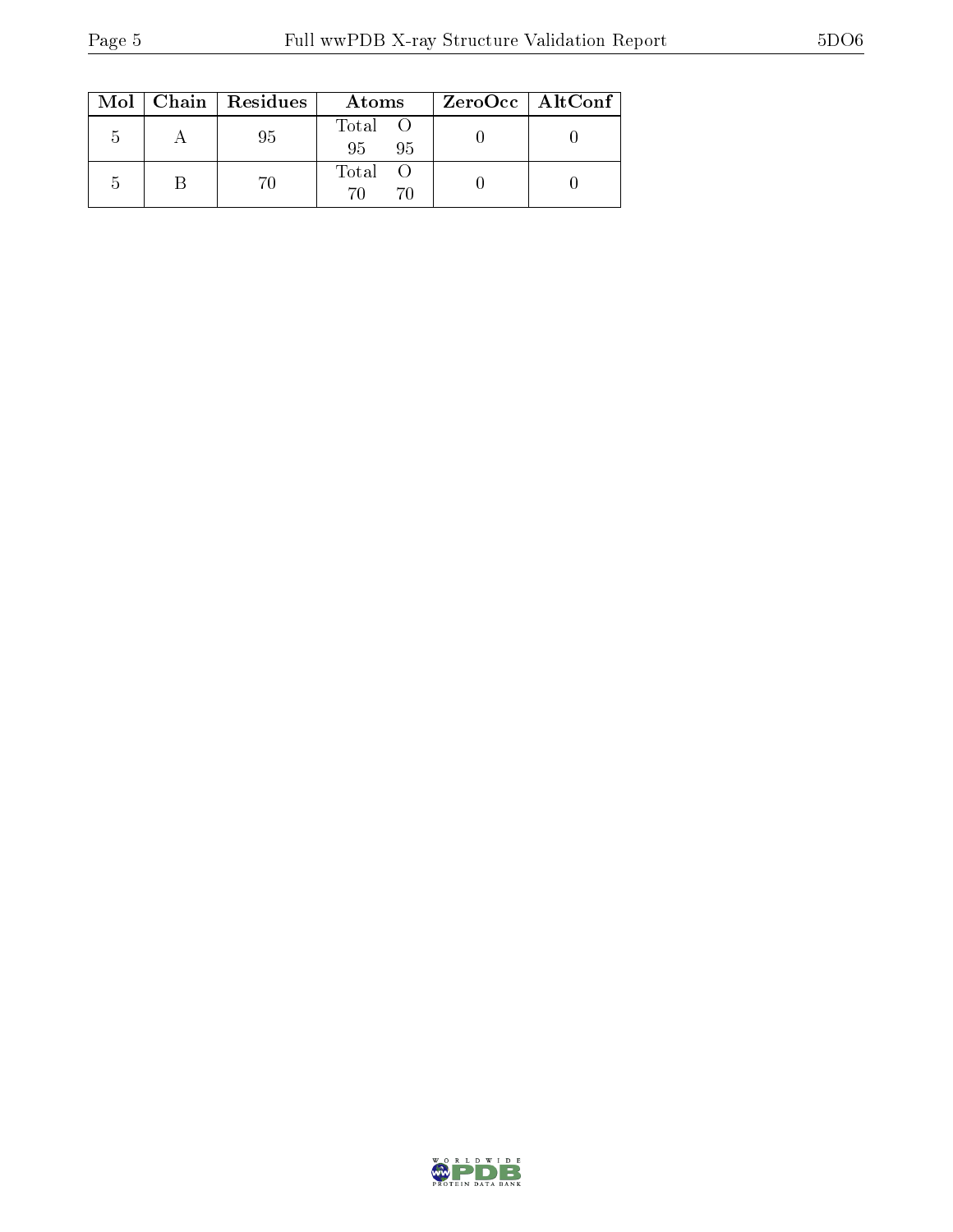|                | $Mol$   Chain   Residues | Atoms                | ZeroOcc   AltConf |
|----------------|--------------------------|----------------------|-------------------|
| $\mathcal{D}$  | 95                       | Total O<br>95<br>-95 |                   |
| $\overline{ }$ |                          | Total                |                   |

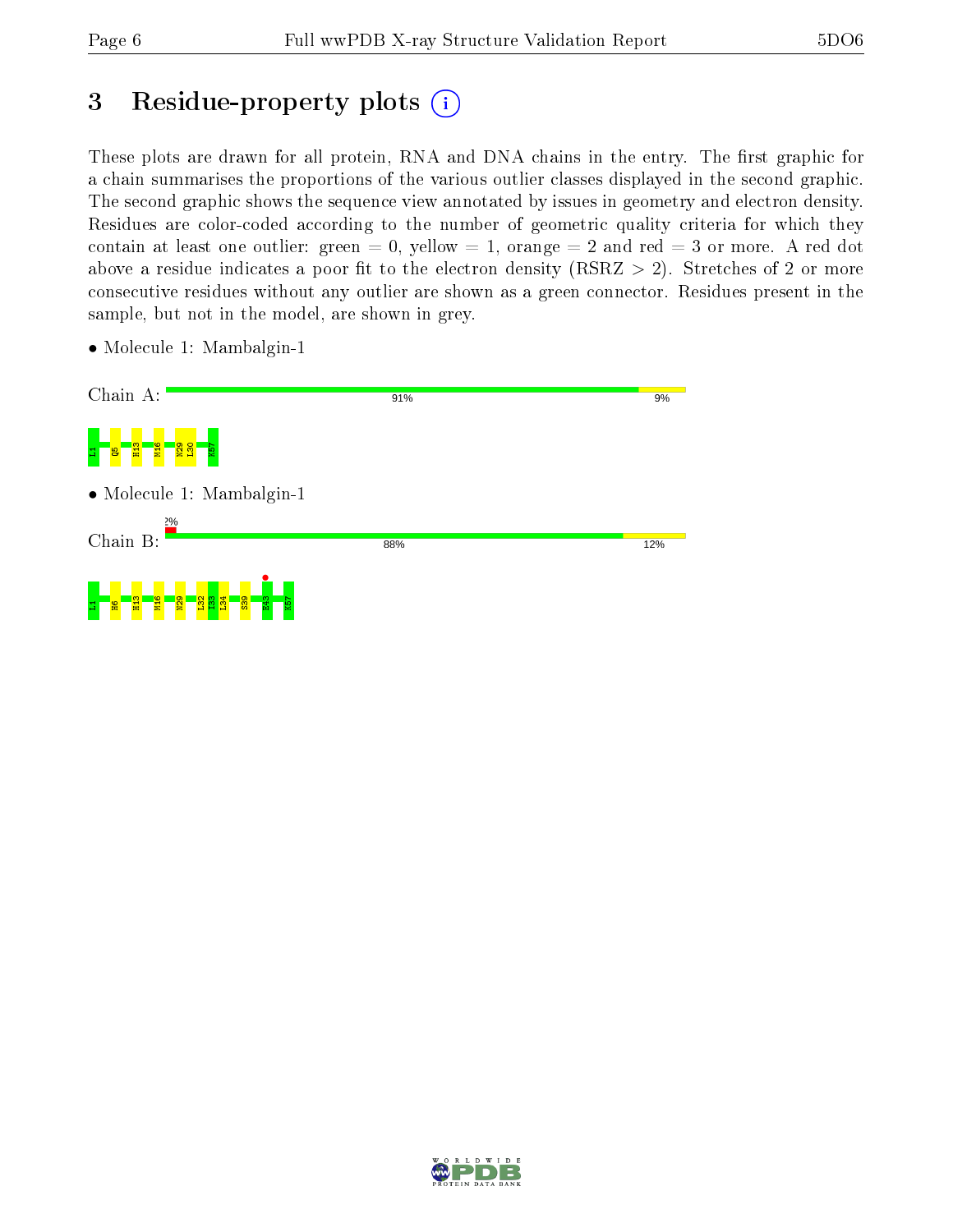## 3 Residue-property plots  $(i)$

These plots are drawn for all protein, RNA and DNA chains in the entry. The first graphic for a chain summarises the proportions of the various outlier classes displayed in the second graphic. The second graphic shows the sequence view annotated by issues in geometry and electron density. Residues are color-coded according to the number of geometric quality criteria for which they contain at least one outlier: green  $= 0$ , yellow  $= 1$ , orange  $= 2$  and red  $= 3$  or more. A red dot above a residue indicates a poor fit to the electron density (RSRZ  $> 2$ ). Stretches of 2 or more consecutive residues without any outlier are shown as a green connector. Residues present in the sample, but not in the model, are shown in grey.

- Chain A: 91%  $9%$ 모<mark>니 용 \_ 3 \_</mark> 중 N29  $\frac{8}{2}$ K57 • Molecule 1: Mambalgin-1 Chain B: 88% 12% **•**<br>E43 모<mark>니 명 - 명 - 중</mark> N29  $\frac{2}{3}$  $\frac{3}{2}$  $\frac{134}{2}$  $\frac{8}{3}$ K57
- Molecule 1: Mambalgin-1

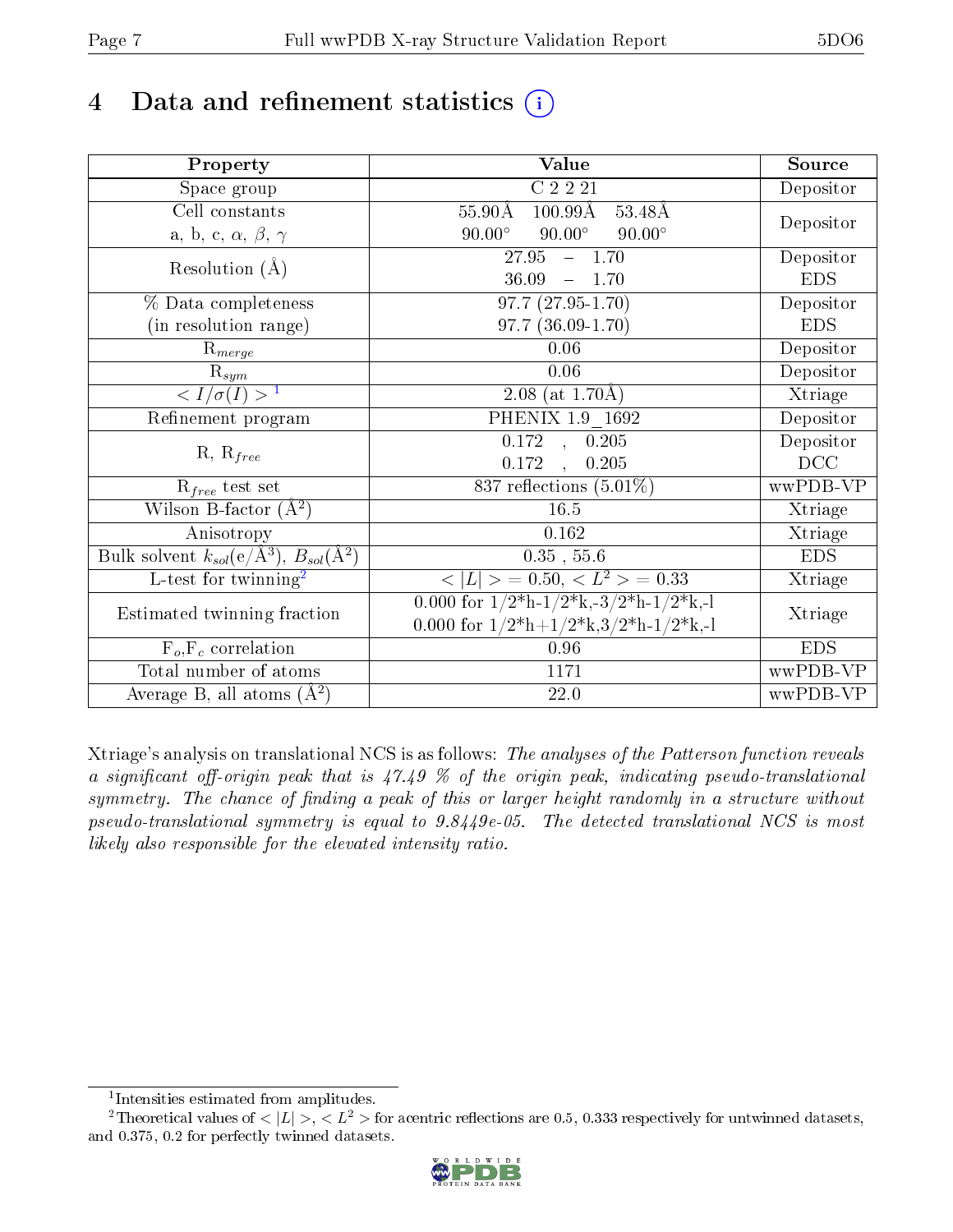# 4 Data and refinement statistics  $(i)$

| Property                                                             | <b>Value</b>                                                                          | Source     |  |
|----------------------------------------------------------------------|---------------------------------------------------------------------------------------|------------|--|
| Space group                                                          | $C$ 2 2 21                                                                            | Depositor  |  |
| Cell constants                                                       | $100.99\text{\AA}$<br>$55.90\text{\AA}$<br>53.48Å                                     |            |  |
| a, b, c, $\alpha$ , $\beta$ , $\gamma$                               | $90.00^\circ$<br>$90.00^\circ$<br>$90.00^\circ$                                       | Depositor  |  |
| Resolution $(A)$                                                     | 27.95<br>$-1.70$                                                                      | Depositor  |  |
|                                                                      | 36.09<br>$-1.70$                                                                      | <b>EDS</b> |  |
| % Data completeness                                                  | $97.7(27.95-1.70)$                                                                    | Depositor  |  |
| (in resolution range)                                                | $97.7(36.09-1.70)$                                                                    | <b>EDS</b> |  |
| $R_{merge}$                                                          | 0.06                                                                                  | Depositor  |  |
| $rac{R_{sym}}{< I/\sigma(I) > 1}$                                    | 0.06                                                                                  | Depositor  |  |
|                                                                      | $2.08$ (at 1.70Å)                                                                     | Xtriage    |  |
| Refinement program                                                   | PHENIX 1.9 1692                                                                       | Depositor  |  |
| $R, R_{free}$                                                        | 0.172, 0.205                                                                          | Depositor  |  |
|                                                                      | 0.172<br>0.205<br>$\frac{1}{2}$                                                       | DCC        |  |
| $R_{free}$ test set                                                  | $837$ reflections $(5.01\%)$                                                          | wwPDB-VP   |  |
| Wilson B-factor $(A^2)$                                              | 16.5                                                                                  | Xtriage    |  |
| Anisotropy                                                           | 0.162                                                                                 | Xtriage    |  |
| Bulk solvent $k_{sol}(e/\mathring{A}^3)$ , $B_{sol}(\mathring{A}^2)$ | $0.35$ , $55.6$                                                                       | <b>EDS</b> |  |
| L-test for twinning <sup>2</sup>                                     | $< L >$ = 0.50, $< L2 >$ = 0.33                                                       | Xtriage    |  |
| Estimated twinning fraction                                          | 0.000 for $1/2^{\ast}h$ -1/2 <sup>*</sup> k,-3/2 <sup>*</sup> h-1/2 <sup>*</sup> k,-1 | Xtriage    |  |
|                                                                      | 0.000 for $1/2^*h+1/2^*k,3/2^*h-1/2^*k,1$                                             |            |  |
| $F_o, F_c$ correlation                                               | 0.96                                                                                  | <b>EDS</b> |  |
| Total number of atoms                                                | 1171                                                                                  | wwPDB-VP   |  |
| Average B, all atoms $(A^2)$                                         | 22.0                                                                                  | wwPDB-VP   |  |

Xtriage's analysis on translational NCS is as follows: The analyses of the Patterson function reveals a significant off-origin peak that is  $47.49\%$  of the origin peak, indicating pseudo-translational symmetry. The chance of finding a peak of this or larger height randomly in a structure without pseudo-translational symmetry is equal to 9.8449e-05. The detected translational NCS is most likely also responsible for the elevated intensity ratio.

<sup>&</sup>lt;sup>2</sup>Theoretical values of  $\langle |L| \rangle$ ,  $\langle L^2 \rangle$  for acentric reflections are 0.5, 0.333 respectively for untwinned datasets, and 0.375, 0.2 for perfectly twinned datasets.



<span id="page-6-1"></span><span id="page-6-0"></span><sup>1</sup> Intensities estimated from amplitudes.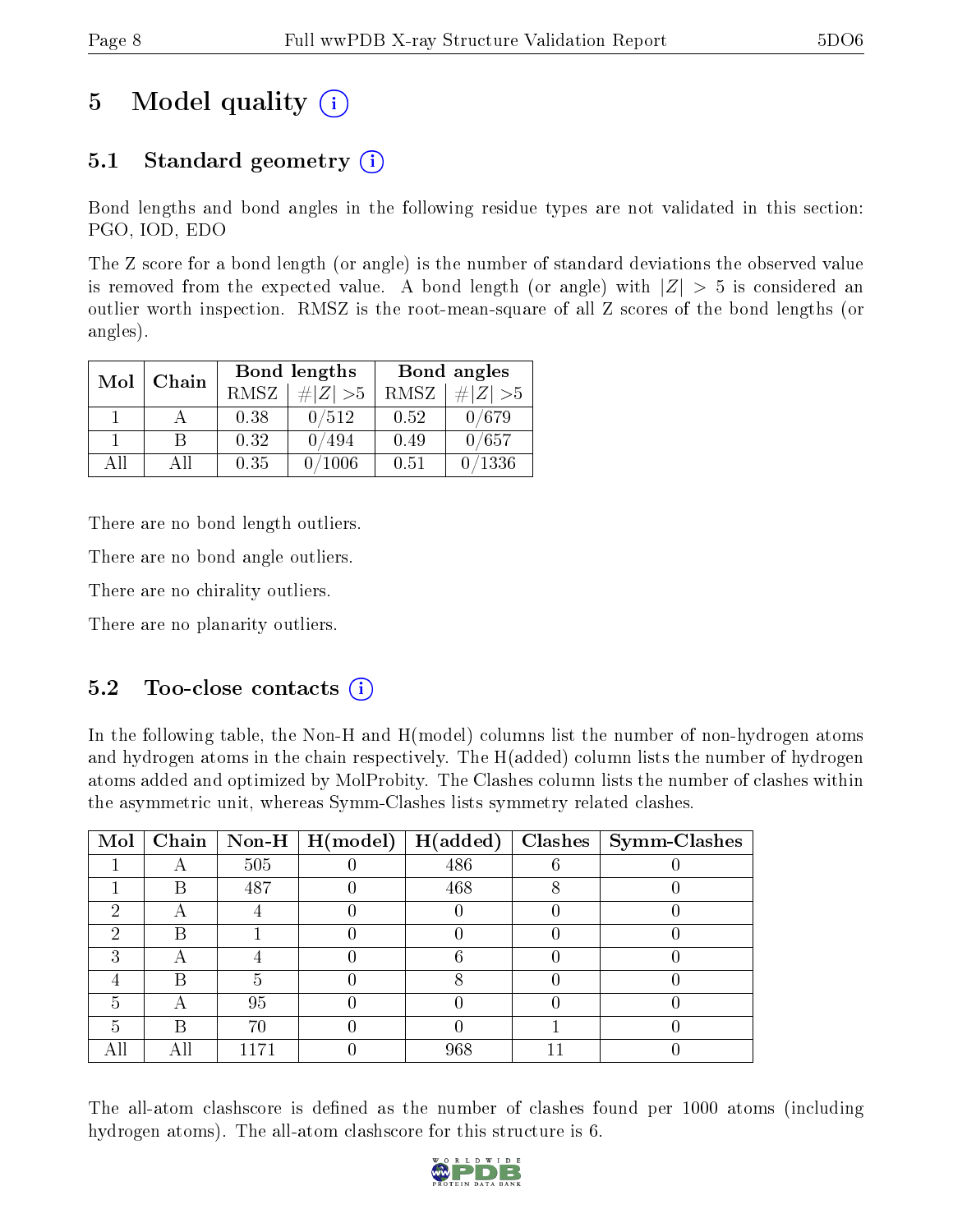## 5 Model quality  $(i)$

### 5.1 Standard geometry  $(i)$

Bond lengths and bond angles in the following residue types are not validated in this section: PGO, IOD, EDO

The Z score for a bond length (or angle) is the number of standard deviations the observed value is removed from the expected value. A bond length (or angle) with  $|Z| > 5$  is considered an outlier worth inspection. RMSZ is the root-mean-square of all Z scores of the bond lengths (or angles).

| Mol | Chain |      | Bond lengths | Bond angles |             |  |
|-----|-------|------|--------------|-------------|-------------|--|
|     |       | RMSZ | $\# Z  > 5$  | RMSZ        | $\ Z\  > 5$ |  |
|     |       | 0.38 | 0/512        | 0.52        | 0/679       |  |
|     |       | 0.32 | 0/494        | 0.49        | 0/657       |  |
| ΔH  | A 11  | 0.35 | 1006         | 0.51        | 0/1336      |  |

There are no bond length outliers.

There are no bond angle outliers.

There are no chirality outliers.

There are no planarity outliers.

#### $5.2$  Too-close contacts  $(i)$

In the following table, the Non-H and H(model) columns list the number of non-hydrogen atoms and hydrogen atoms in the chain respectively. The H(added) column lists the number of hydrogen atoms added and optimized by MolProbity. The Clashes column lists the number of clashes within the asymmetric unit, whereas Symm-Clashes lists symmetry related clashes.

| Mol |   |     | Chain   Non-H   $H (model)$   $H (added)$ |     | $\textbf{Class} \mid \textbf{Symm-Class}$ |
|-----|---|-----|-------------------------------------------|-----|-------------------------------------------|
|     |   | 505 |                                           | 486 |                                           |
|     | В | 487 |                                           | 468 |                                           |
| ٠,  |   |     |                                           |     |                                           |
| ച   |   |     |                                           |     |                                           |
| ച   |   |     |                                           |     |                                           |
|     | В |     |                                           |     |                                           |
| 5   |   | 95  |                                           |     |                                           |
|     | R | 70  |                                           |     |                                           |
| AП  |   |     |                                           | 968 |                                           |

The all-atom clashscore is defined as the number of clashes found per 1000 atoms (including hydrogen atoms). The all-atom clashscore for this structure is 6.

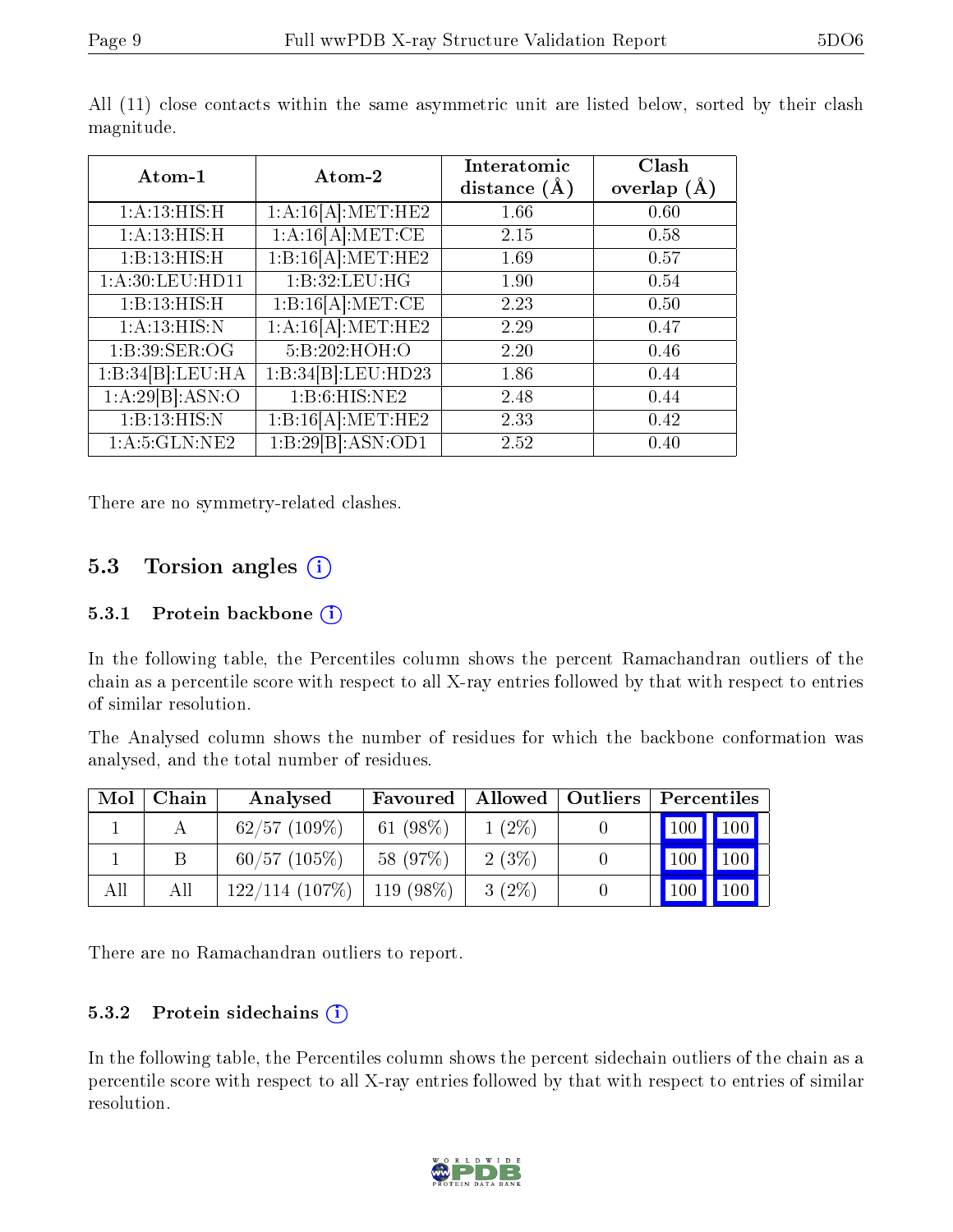| Atom-1             | Atom-2                         | Interatomic<br>distance $(A)$ | Clash<br>overlap $(A)$ |
|--------------------|--------------------------------|-------------------------------|------------------------|
| 1:A:13:HIS:H       | 1:A:16[A]:MET:HE2              | 1.66                          | 0.60                   |
| 1:A:13:HIS:H       | 1:A:16[A]:MET:CE               | 2.15                          | 0.58                   |
| 1:B:13:HIS:H       | 1:B:16[A]:MET:HE2              | 1.69                          | 0.57                   |
| 1: A:30: LEU: HD11 | 1:B:32:LEU:HG                  | 1.90                          | 0.54                   |
| 1:B:13:HIS:H       | 1:B:16[A]:MET:CE               | 2.23                          | 0.50                   |
| 1:A:13:HIS:N       | 1:A:16[A]:MET:HE2              | 2.29                          | 0.47                   |
| 1:B:39:SER:OG      | 5:B:202:HOH:O                  | 2.20                          | 0.46                   |
| 1:B:34[B]:LEU:HA   | 1:B:34[B]:LEU:HD23             | 1.86                          | 0.44                   |
| 1:A:29[B]:ASN:O    | 1:B:6:HIS:NE2                  | 2.48                          | 0.44                   |
| 1:B:13:HIS:N       | 1:B:16[A]:MET:HE2              | 2.33                          | 0.42                   |
| 1: A: 5: GLN: NE2  | $1:B:29[B]:ASN:0\overline{D1}$ | 2.52                          | 0.40                   |

All (11) close contacts within the same asymmetric unit are listed below, sorted by their clash magnitude.

There are no symmetry-related clashes.

### 5.3 Torsion angles (i)

#### 5.3.1 Protein backbone (i)

In the following table, the Percentiles column shows the percent Ramachandran outliers of the chain as a percentile score with respect to all X-ray entries followed by that with respect to entries of similar resolution.

The Analysed column shows the number of residues for which the backbone conformation was analysed, and the total number of residues.

| Mol | Chain | Analysed          | Favoured    | Allowed   Outliers | Percentiles                |
|-----|-------|-------------------|-------------|--------------------|----------------------------|
|     |       | $62/57$ (109\%)   | 61 $(98%)$  | $1(2\%)$           | $100$   $100$              |
|     |       | $60/57$ (105%)    | 58 (97%)    | 2(3%)              | 100<br>$\vert$ 100 $\vert$ |
| All | All   | $122/114$ (107\%) | $119(98\%)$ | $3(2\%)$           | 100<br>100                 |

There are no Ramachandran outliers to report.

#### 5.3.2 Protein sidechains  $(i)$

In the following table, the Percentiles column shows the percent sidechain outliers of the chain as a percentile score with respect to all X-ray entries followed by that with respect to entries of similar resolution.

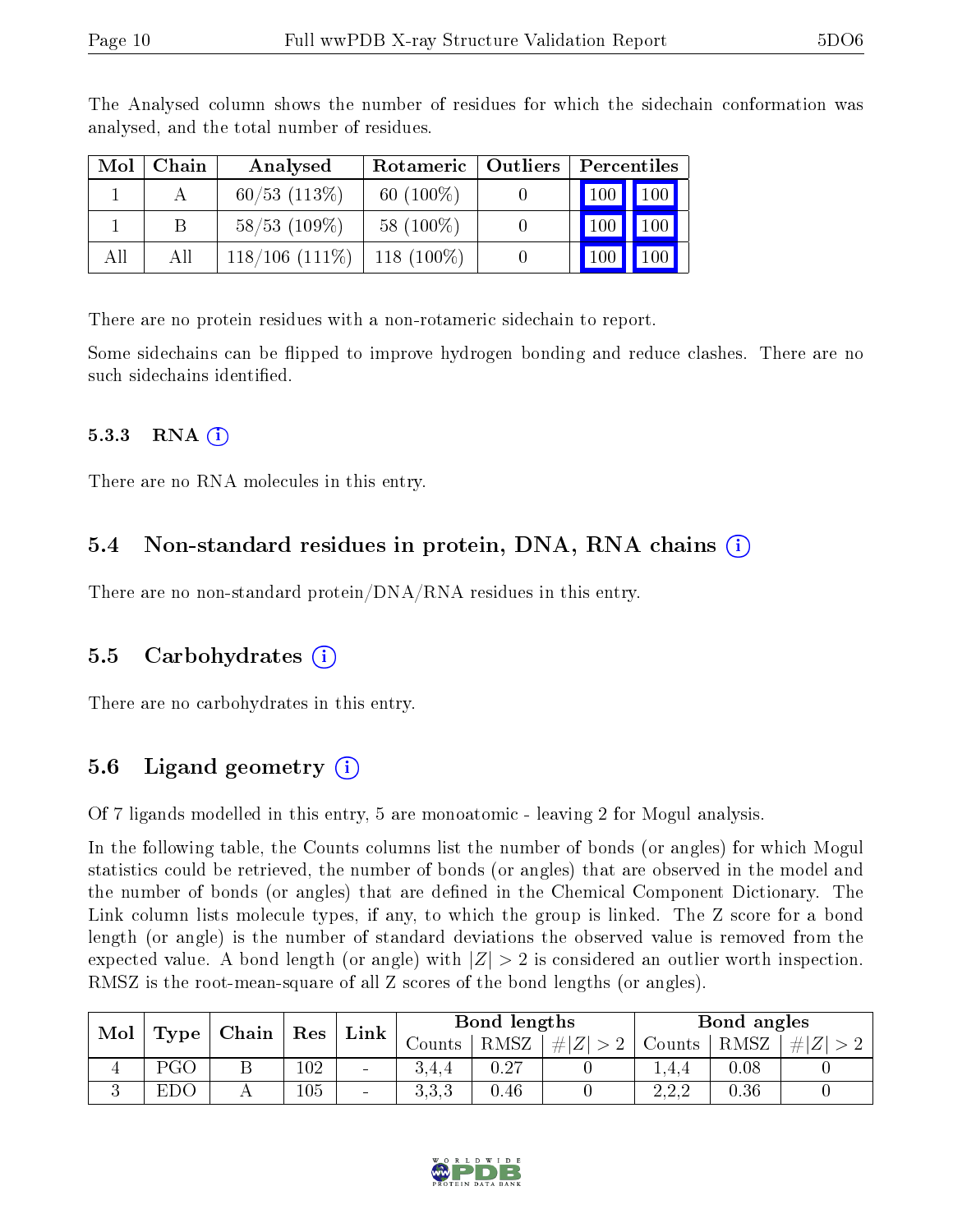| Mol | Chain | Analysed            | Rotameric   Outliers |                  | Percentiles |  |
|-----|-------|---------------------|----------------------|------------------|-------------|--|
|     |       | $60/53$ $(113%)$    | 60 $(100\%)$         | 100 <sub>1</sub> | 100         |  |
|     |       | $58/53$ (109\%)     | 58 (100\%)           |                  | 100         |  |
| All | ΑH    | $118/106$ $(111\%)$ | 118 $(100\%)$        |                  | 00          |  |

The Analysed column shows the number of residues for which the sidechain conformation was analysed, and the total number of residues.

There are no protein residues with a non-rotameric sidechain to report.

Some sidechains can be flipped to improve hydrogen bonding and reduce clashes. There are no such sidechains identified.

#### 5.3.3 RNA  $(i)$

There are no RNA molecules in this entry.

#### 5.4 Non-standard residues in protein, DNA, RNA chains  $(i)$

There are no non-standard protein/DNA/RNA residues in this entry.

#### 5.5 Carbohydrates  $(i)$

There are no carbohydrates in this entry.

### 5.6 Ligand geometry (i)

Of 7 ligands modelled in this entry, 5 are monoatomic - leaving 2 for Mogul analysis.

In the following table, the Counts columns list the number of bonds (or angles) for which Mogul statistics could be retrieved, the number of bonds (or angles) that are observed in the model and the number of bonds (or angles) that are defined in the Chemical Component Dictionary. The Link column lists molecule types, if any, to which the group is linked. The Z score for a bond length (or angle) is the number of standard deviations the observed value is removed from the expected value. A bond length (or angle) with  $|Z| > 2$  is considered an outlier worth inspection. RMSZ is the root-mean-square of all Z scores of the bond lengths (or angles).

| Mol | Type       | $\mid$ Chain | $\vert$ Res | Link   | Bond lengths |      |         | Bond angles                           |      |     |
|-----|------------|--------------|-------------|--------|--------------|------|---------|---------------------------------------|------|-----|
|     |            |              |             |        | Jounts-      | RMSZ | $\# Z $ | Counts                                | RMSZ | # Z |
|     | PGC        |              | 102         | $\sim$ | 3.4.4        | 0.27 |         | 1.4.4                                 | 0.08 |     |
|     | <b>EDC</b> |              | 105         | $\sim$ | २२२<br>∪.∪.∪ | 0.46 |         | າາາ<br>$\Delta$ , $\Delta$ , $\Delta$ | 0.36 |     |

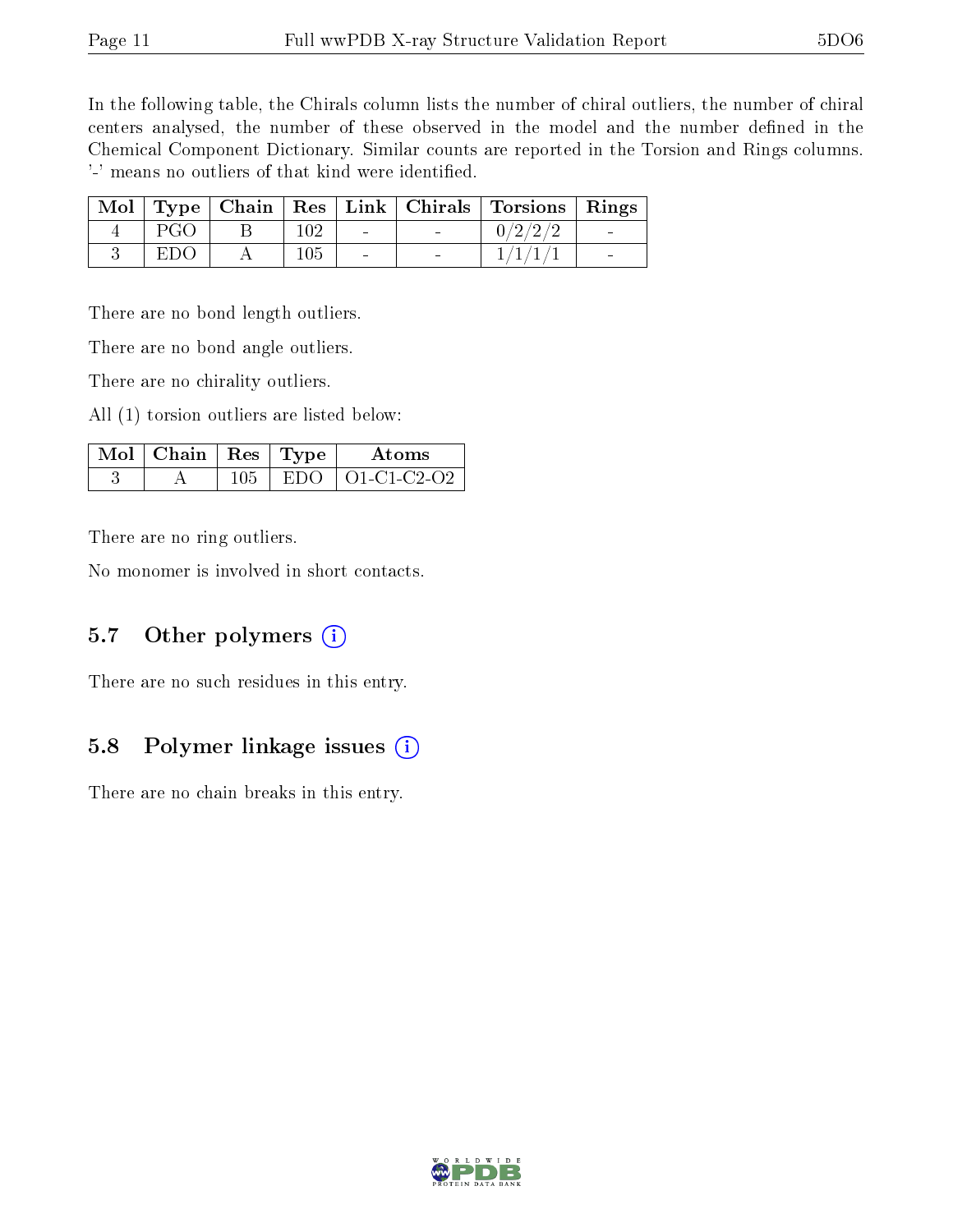In the following table, the Chirals column lists the number of chiral outliers, the number of chiral centers analysed, the number of these observed in the model and the number defined in the Chemical Component Dictionary. Similar counts are reported in the Torsion and Rings columns. '-' means no outliers of that kind were identified.

|      |     |        | Mol Type Chain Res Link Chirals Torsions Rings |  |
|------|-----|--------|------------------------------------------------|--|
| PGO  | 102 | $\sim$ | 0/2/2/2                                        |  |
| E DC | 105 | $\sim$ |                                                |  |

There are no bond length outliers.

There are no bond angle outliers.

There are no chirality outliers.

All (1) torsion outliers are listed below:

| $\Delta$ Mol $\parallel$ Chain $\parallel$ Res $\parallel$ Type $\parallel$ |          | Atoms             |
|-----------------------------------------------------------------------------|----------|-------------------|
|                                                                             | - ELDO - | $\pm$ O1-C1-C2-O2 |

There are no ring outliers.

No monomer is involved in short contacts.

#### 5.7 [O](https://www.wwpdb.org/validation/2017/XrayValidationReportHelp#nonstandard_residues_and_ligands)ther polymers  $(i)$

There are no such residues in this entry.

#### 5.8 Polymer linkage issues  $(i)$

There are no chain breaks in this entry.

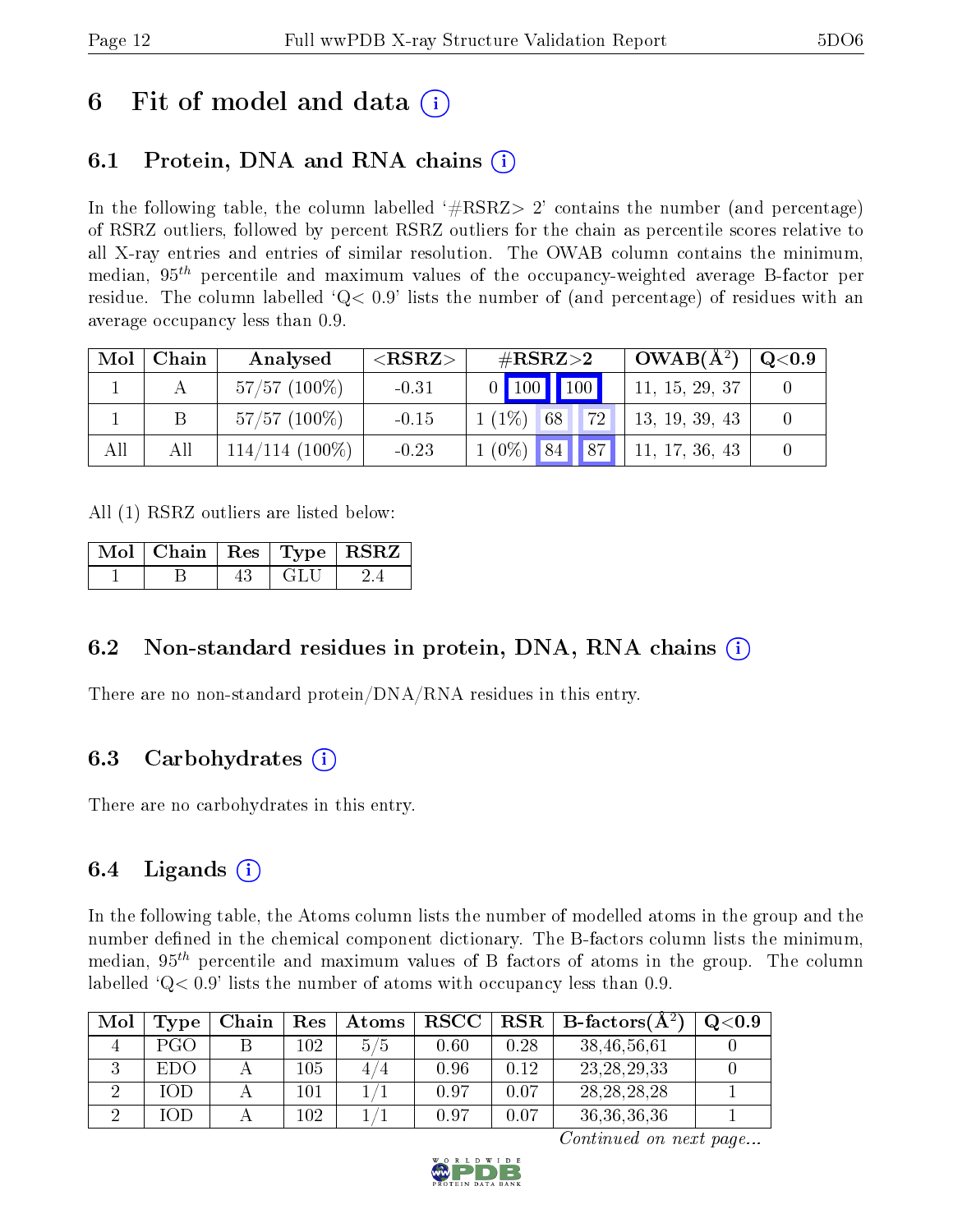## 6 Fit of model and data  $\left( \cdot \right)$

## 6.1 Protein, DNA and RNA chains (i)

In the following table, the column labelled  $#RSRZ>2'$  contains the number (and percentage) of RSRZ outliers, followed by percent RSRZ outliers for the chain as percentile scores relative to all X-ray entries and entries of similar resolution. The OWAB column contains the minimum, median,  $95<sup>th</sup>$  percentile and maximum values of the occupancy-weighted average B-factor per residue. The column labelled  $Q < 0.9$  lists the number of (and percentage) of residues with an average occupancy less than 0.9.

| Mol | Chain | Analysed         | ${ <\hspace{-1.5pt}{\mathrm{RSRZ}} \hspace{-1.5pt}>}$ | $\#\text{RSRZ}\text{>2}$ | $\overline{\text{OWAB(A)}^2}$ | $\mathrm{Q} {<} 0.9$ |
|-----|-------|------------------|-------------------------------------------------------|--------------------------|-------------------------------|----------------------|
|     |       | $57/57(100\%)$   | $-0.31$                                               | 0   100   100            | 11, 15, 29, 37                |                      |
|     |       | $57/57(100\%)$   | $-0.15$                                               | 72<br>$1(1\%)$<br>68     | 13, 19, 39, 43                |                      |
|     | All   | $114/114$ (100%) | $-0.23$                                               | $1(0\%)$ 84 87           | 11, 17, 36, 43                |                      |

All (1) RSRZ outliers are listed below:

|  |       | $\boxed{\text{ Mol}}$ Chain $\boxed{\text{Res}}$ Type $\boxed{\text{RSRZ}}$ |
|--|-------|-----------------------------------------------------------------------------|
|  | – GLU |                                                                             |

### 6.2 Non-standard residues in protein, DNA, RNA chains (i)

There are no non-standard protein/DNA/RNA residues in this entry.

### 6.3 Carbohydrates (i)

There are no carbohydrates in this entry.

### 6.4 Ligands  $(i)$

In the following table, the Atoms column lists the number of modelled atoms in the group and the number defined in the chemical component dictionary. The B-factors column lists the minimum, median,  $95<sup>th</sup>$  percentile and maximum values of B factors of atoms in the group. The column labelled  $Q< 0.9$ ' lists the number of atoms with occupancy less than 0.9.

| Mol | Tvpe | Chain | Res     | Atoms  | $_{\rm RSCC}$ | $\ $ RSR $\ $ | $\mid$ B-factors( ${\rm A}^2$ | $_{\mathrm{Q}<}$ 0.9 |
|-----|------|-------|---------|--------|---------------|---------------|-------------------------------|----------------------|
|     | PGO  |       | 102     | 5/5    | 0.60          | 0.28          | 38,46,56,61                   |                      |
|     | EDO  |       | $105\,$ | 4<br>4 | 0.96          | 0.12          | 23, 28, 29, 33                |                      |
|     | IOD  |       | LO 1    |        | 0.97          | 0.07          | 28, 28, 28, 28                |                      |
|     | ЮD   |       | 102     |        | 0.97          | በ በ7          | 36, 36, 36, 36                |                      |

Continued on next page...